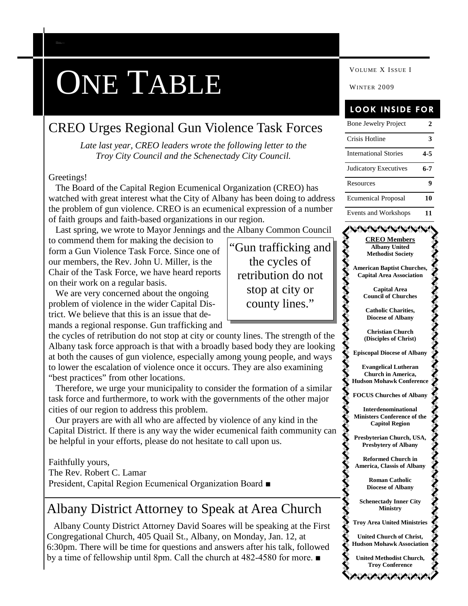# ONE TABLE

### CREO Urges Regional Gun Violence Task Forces

*Late last year, CREO leaders wrote the following letter to the Troy City Council and the Schenectady City Council.*

#### Greetings!

*C AP ITAL REG ION E C UMEN ICA L ORGA NIZA TION*

The Board of the Capital Region Ecumenical Organization (CREO) has watched with great interest what the City of Albany has been doing to address the problem of gun violence. CREO is an ecumenical expression of a number of faith groups and faith-based organizations in our region.

Last spring, we wrote to Mayor Jennings and the Albany Common Council

to commend them for making the decision to form a Gun Violence Task Force. Since one of our members, the Rev. John U. Miller, is the Chair of the Task Force, we have heard reports on their work on a regular basis.

We are very concerned about the ongoing problem of violence in the wider Capital District. We believe that this is an issue that demands a regional response. Gun trafficking and



Therefore, we urge your municipality to consider the formation of a similar task force and furthermore, to work with the governments of the other major cities of our region to address this problem.

Our prayers are with all who are affected by violence of any kind in the Capital District. If there is any way the wider ecumenical faith community can be helpful in your efforts, please do not hesitate to call upon us.

#### Faithfully yours,

The Rev. Robert C. Lamar President, Capital Region Ecumenical Organization Board ■

### Albany District Attorney to Speak at Area Church

Albany County District Attorney David Soares will be speaking at the First Congregational Church, 405 Quail St., Albany, on Monday, Jan. 12, at 6:30pm. There will be time for questions and answers after his talk, followed by a time of fellowship until 8pm. Call the church at 482-4580 for more. ■

VOLUME X ISSUE I

### **LOOK INSIDE FOR**

| <b>Bone Jewelry Project</b>                                                            | 2       |
|----------------------------------------------------------------------------------------|---------|
| Crisis Hotline                                                                         | 3       |
| <b>International Stories</b>                                                           | $4 - 5$ |
| Judicatory Executives                                                                  | 6-7     |
| Resources                                                                              | 9       |
| <b>Ecumenical Proposal</b>                                                             | 10      |
| Events and Workshops                                                                   | 11      |
| <b>MWWW</b><br><b>CREO</b> Members<br><b>Albany United</b><br><b>Methodist Society</b> |         |
| <b>American Baptist Churches,</b><br><b>Capital Area Association</b>                   |         |
| <b>Capital Area</b>                                                                    |         |
| <b>Council of Churches</b>                                                             |         |
| <b>Catholic Charities,</b>                                                             |         |
| <b>Diocese of Albany</b>                                                               |         |
| <b>Christian Church</b>                                                                |         |
| (Disciples of Christ)                                                                  |         |



**Evangelical Lutheran Church in America, Hudson Mohawk Conference FOCUS Churches of Albany Interdenominational**

**Ministers Conference of the Capitol Region**

**Presbyterian Church, USA, Presbytery of Albany**

**Reformed Church in America, Classis of Albany**

> **Roman Catholic Diocese of Albany**

**Schenectady Inner City Ministry**

**Troy Area United Ministries**

**United Church of Christ, Hudson Mohawk Association**

**United Methodist Church, Troy Conference** ハイバイバイ

"Gun trafficking and the cycles of retribution do not stop at city or county lines."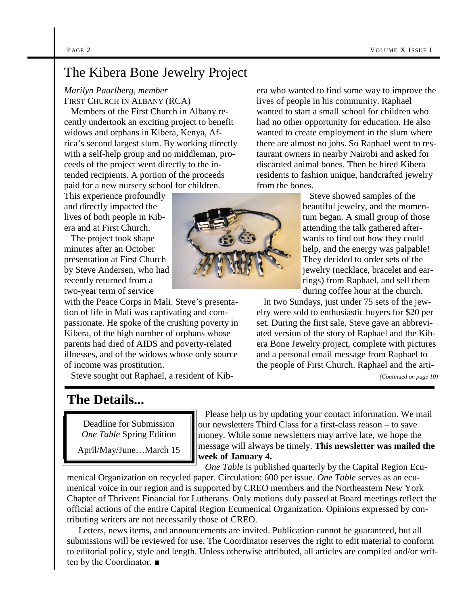### The Kibera Bone Jewelry Project

*Marilyn Paarlberg, member* FIRST CHURCH IN ALBANY (RCA)

Members of the First Church in Albany recently undertook an exciting project to benefit widows and orphans in Kibera, Kenya, Africa's second largest slum. By working directly with a self-help group and no middleman, proceeds of the project went directly to the intended recipients. A portion of the proceeds paid for a new nursery school for children.

This experience profoundly and directly impacted the lives of both people in Kibera and at First Church.

The project took shape minutes after an October presentation at First Church by Steve Andersen, who had recently returned from a two-year term of service

with the Peace Corps in Mali. Steve's presentation of life in Mali was captivating and compassionate. He spoke of the crushing poverty in Kibera, of the high number of orphans whose parents had died of AIDS and poverty-related illnesses, and of the widows whose only source of income was prostitution.

Steve sought out Raphael, a resident of Kib-

## **The Details...**

Deadline for Submission *One Table* Spring Edition

April/May/June…March 15

era who wanted to find some way to improve the lives of people in his community. Raphael wanted to start a small school for children who had no other opportunity for education. He also wanted to create employment in the slum where there are almost no jobs. So Raphael went to restaurant owners in nearby Nairobi and asked for discarded animal bones. Then he hired Kibera residents to fashion unique, handcrafted jewelry from the bones.

> Steve showed samples of the beautiful jewelry, and the momentum began. A small group of those attending the talk gathered afterwards to find out how they could help, and the energy was palpable! They decided to order sets of the jewelry (necklace, bracelet and earrings) from Raphael, and sell them during coffee hour at the church.

In two Sundays, just under 75 sets of the jewelry were sold to enthusiastic buyers for \$20 per set. During the first sale, Steve gave an abbreviated version of the story of Raphael and the Kibera Bone Jewelry project, complete with pictures and a personal email message from Raphael to the people of First Church. Raphael and the arti-

*(Continued on page 10)*

Please help us by updating your contact information. We mail our newsletters Third Class for a first-class reason – to save money. While some newsletters may arrive late, we hope the message will always be timely. **This newsletter was mailed the week of January 4.**

*One Table* is published quarterly by the Capital Region Ecu-

menical Organization on recycled paper. Circulation: 600 per issue. *One Table* serves as an ecumenical voice in our region and is supported by CREO members and the Northeastern New York Chapter of Thrivent Financial for Lutherans. Only motions duly passed at Board meetings reflect the official actions of the entire Capital Region Ecumenical Organization. Opinions expressed by contributing writers are not necessarily those of CREO.

Letters, news items, and announcements are invited. Publication cannot be guaranteed, but all submissions will be reviewed for use. The Coordinator reserves the right to edit material to conform to editorial policy, style and length. Unless otherwise attributed, all articles are compiled and/or written by the Coordinator. ■

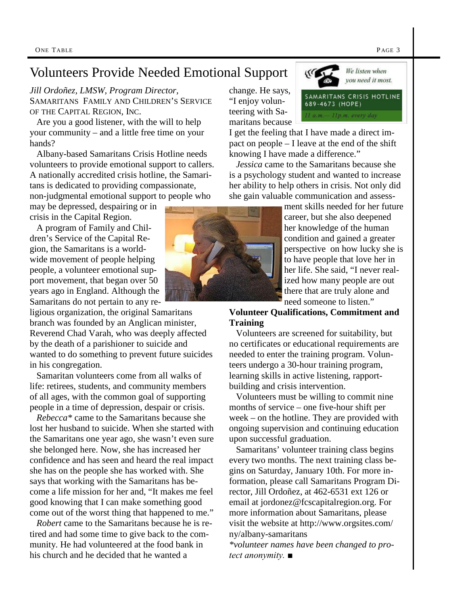### Volunteers Provide Needed Emotional Support

*Jill Ordoñez, LMSW, Program Director,* SAMARITANS FAMILY AND CHILDREN'S SERVICE OF THE CAPITAL REGION, INC.

Are you a good listener, with the will to help your community – and a little free time on your hands?

Albany-based Samaritans Crisis Hotline needs volunteers to provide emotional support to callers. A nationally accredited crisis hotline, the Samaritans is dedicated to providing compassionate, non-judgmental emotional support to people who

may be depressed, despairing or in crisis in the Capital Region.

A program of Family and Children's Service of the Capital Region, the Samaritans is a worldwide movement of people helping people, a volunteer emotional support movement, that began over 50 years ago in England. Although the Samaritans do not pertain to any re-

ligious organization, the original Samaritans branch was founded by an Anglican minister, Reverend Chad Varah, who was deeply affected by the death of a parishioner to suicide and wanted to do something to prevent future suicides in his congregation.

Samaritan volunteers come from all walks of life: retirees, students, and community members of all ages, with the common goal of supporting people in a time of depression, despair or crisis.

*Rebecca\** came to the Samaritans because she lost her husband to suicide. When she started with the Samaritans one year ago, she wasn't even sure she belonged here. Now, she has increased her confidence and has seen and heard the real impact she has on the people she has worked with. She says that working with the Samaritans has become a life mission for her and, "It makes me feel good knowing that I can make something good come out of the worst thing that happened to me."

*Robert* came to the Samaritans because he is retired and had some time to give back to the community. He had volunteered at the food bank in his church and he decided that he wanted a

change. He says, "I enjoy volunteering with Samaritans because

I get the feeling that I have made a direct impact on people – I leave at the end of the shift knowing I have made a difference."

KG

*Jessica* came to the Samaritans because she is a psychology student and wanted to increase her ability to help others in crisis. Not only did she gain valuable communication and assess-

> ment skills needed for her future career, but she also deepened her knowledge of the human condition and gained a greater perspective on how lucky she is to have people that love her in her life. She said, "I never realized how many people are out there that are truly alone and need someone to listen."

#### **Volunteer Qualifications, Commitment and Training**

Volunteers are screened for suitability, but no certificates or educational requirements are needed to enter the training program. Volunteers undergo a 30-hour training program, learning skills in active listening, rapportbuilding and crisis intervention.

Volunteers must be willing to commit nine months of service – one five-hour shift per week – on the hotline. They are provided with ongoing supervision and continuing education upon successful graduation.

Samaritans' volunteer training class begins every two months. The next training class begins on Saturday, January 10th. For more information, please call Samaritans Program Director, Jill Ordoñez, at 462-6531 ext 126 or email at jordonez@fcscapitalregion.org. For more information about Samaritans, please visit the website at http://www.orgsites.com/ ny/albany-samaritans

*\*volunteer names have been changed to protect anonymity. ■*



We listen when you need it most.

SAMARITANS CRISIS HOTLINE

689-4673 (HOPE) 1 a.m. - 11p.m. every day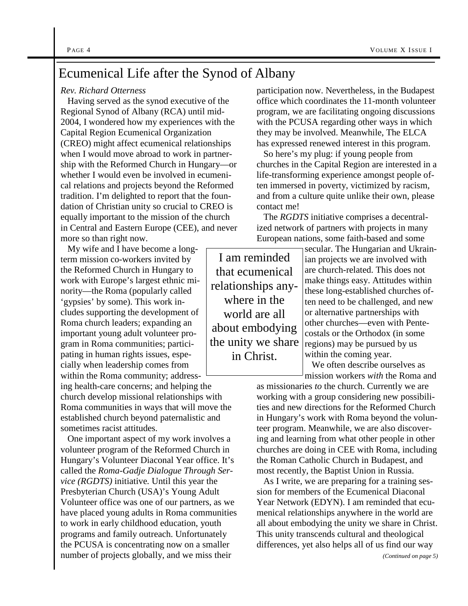### Ecumenical Life after the Synod of Albany

#### *Rev. Richard Otterness*

Having served as the synod executive of the Regional Synod of Albany (RCA) until mid-2004, I wondered how my experiences with the Capital Region Ecumenical Organization (CREO) might affect ecumenical relationships when I would move abroad to work in partnership with the Reformed Church in Hungary—or whether I would even be involved in ecumenical relations and projects beyond the Reformed tradition. I'm delighted to report that the foundation of Christian unity so crucial to CREO is equally important to the mission of the church in Central and Eastern Europe (CEE), and never more so than right now.

My wife and I have become a longterm mission co-workers invited by the Reformed Church in Hungary to work with Europe's largest ethnic minority—the Roma (popularly called 'gypsies' by some). This work includes supporting the development of Roma church leaders; expanding an important young adult volunteer program in Roma communities; participating in human rights issues, especially when leadership comes from within the Roma community; address-

ing health-care concerns; and helping the church develop missional relationships with Roma communities in ways that will move the established church beyond paternalistic and sometimes racist attitudes.

One important aspect of my work involves a volunteer program of the Reformed Church in Hungary's Volunteer Diaconal Year office. It's called the *Roma-Gadje Dialogue Through Service (RGDTS)* initiative*.* Until this year the Presbyterian Church (USA)'s Young Adult Volunteer office was one of our partners, as we have placed young adults in Roma communities to work in early childhood education, youth programs and family outreach. Unfortunately the PCUSA is concentrating now on a smaller number of projects globally, and we miss their

participation now. Nevertheless, in the Budapest office which coordinates the 11-month volunteer program, we are facilitating ongoing discussions with the PCUSA regarding other ways in which they may be involved. Meanwhile, The ELCA has expressed renewed interest in this program.

So here's my plug: if young people from churches in the Capital Region are interested in a life-transforming experience amongst people often immersed in poverty, victimized by racism, and from a culture quite unlike their own, please contact me!

The *RGDTS* initiative comprises a decentralized network of partners with projects in many European nations, some faith-based and some

I am reminded that ecumenical relationships anywhere in the world are all about embodying the unity we share in Christ.

secular. The Hungarian and Ukrainian projects we are involved with are church-related. This does not make things easy. Attitudes within these long-established churches often need to be challenged, and new or alternative partnerships with other churches—even with Pentecostals or the Orthodox (in some regions) may be pursued by us within the coming year.

We often describe ourselves as mission workers *with* the Roma and

as missionaries *to* the church. Currently we are working with a group considering new possibilities and new directions for the Reformed Church in Hungary's work with Roma beyond the volunteer program. Meanwhile, we are also discovering and learning from what other people in other churches are doing in CEE with Roma, including the Roman Catholic Church in Budapest, and most recently, the Baptist Union in Russia.

As I write, we are preparing for a training session for members of the Ecumenical Diaconal Year Network (EDYN). I am reminded that ecumenical relationships anywhere in the world are all about embodying the unity we share in Christ. This unity transcends cultural and theological differences, yet also helps all of us find our way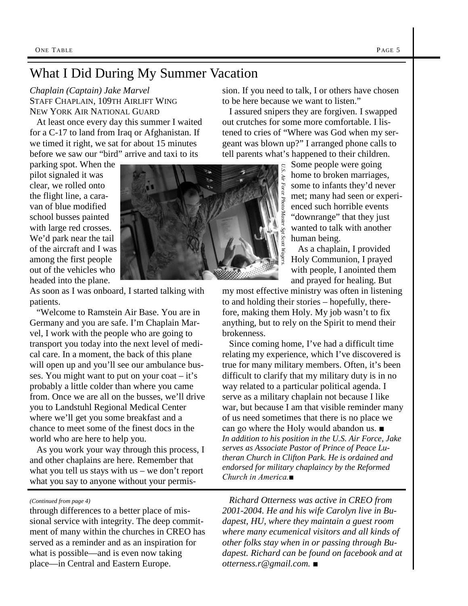### What I Did During My Summer Vacation

*Chaplain (Captain) Jake Marvel* STAFF CHAPLAIN, 109TH AIRLIFT WING NEW YORK AIR NATIONAL GUARD

At least once every day this summer I waited for a C-17 to land from Iraq or Afghanistan. If we timed it right, we sat for about 15 minutes before we saw our "bird" arrive and taxi to its

parking spot. When the pilot signaled it was clear, we rolled onto the flight line, a caravan of blue modified school busses painted with large red crosses. We'd park near the tail of the aircraft and I was among the first people out of the vehicles who headed into the plane.



As soon as I was onboard, I started talking with patients.

"Welcome to Ramstein Air Base. You are in Germany and you are safe. I'm Chaplain Marvel, I work with the people who are going to transport you today into the next level of medical care. In a moment, the back of this plane will open up and you'll see our ambulance busses. You might want to put on your coat – it's probably a little colder than where you came from. Once we are all on the busses, we'll drive you to Landstuhl Regional Medical Center where we'll get you some breakfast and a chance to meet some of the finest docs in the world who are here to help you.

As you work your way through this process, I and other chaplains are here. Remember that what you tell us stays with us – we don't report what you say to anyone without your permis-

#### *(Continued from page 4)*

through differences to a better place of missional service with integrity. The deep commitment of many within the churches in CREO has served as a reminder and as an inspiration for what is possible—and is even now taking place—in Central and Eastern Europe.

sion. If you need to talk, I or others have chosen to be here because we want to listen."

I assured snipers they are forgiven. I swapped out crutches for some more comfortable. I listened to cries of "Where was God when my sergeant was blown up?" I arranged phone calls to tell parents what's happened to their children.

> Some people were going home to broken marriages, some to infants they'd never met; many had seen or experienced such horrible events "downrange" that they just wanted to talk with another human being.

As a chaplain, I provided Holy Communion, I prayed with people, I anointed them and prayed for healing. But

my most effective ministry was often in listening to and holding their stories – hopefully, therefore, making them Holy. My job wasn't to fix anything, but to rely on the Spirit to mend their brokenness.

Since coming home, I've had a difficult time relating my experience, which I've discovered is true for many military members. Often, it's been difficult to clarify that my military duty is in no way related to a particular political agenda. I serve as a military chaplain not because I like war, but because I am that visible reminder many of us need sometimes that there is no place we can go where the Holy would abandon us. ■ *In addition to his position in the U.S. Air Force, Jake serves as Associate Pastor of Prince of Peace Lutheran Church in Clifton Park. He is ordained and endorsed for military chaplaincy by the Reformed Church in America.■*

*Richard Otterness was active in CREO from 2001-2004. He and his wife Carolyn live in Budapest, HU, where they maintain a guest room where many ecumenical visitors and all kinds of other folks stay when in or passing through Budapest. Richard can be found on facebook and at otterness.r@gmail.com.* ■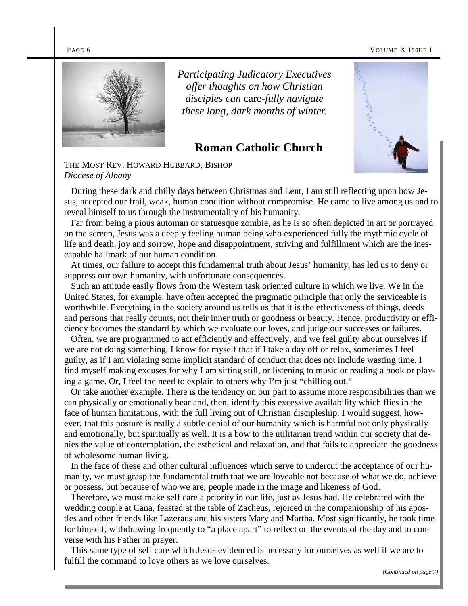#### PAGE 6 VOLUME X ISSUE I



*Participating Judicatory Executives offer thoughts on how Christian disciples can* care*-fully navigate these long, dark months of winter.*

### **Roman Catholic Church**



THE MOST REV. HOWARD HUBBARD, BISHOP *Diocese of Albany*

During these dark and chilly days between Christmas and Lent, I am still reflecting upon how Jesus, accepted our frail, weak, human condition without compromise. He came to live among us and to reveal himself to us through the instrumentality of his humanity.

Far from being a pious automan or statuesque zombie, as he is so often depicted in art or portrayed on the screen, Jesus was a deeply feeling human being who experienced fully the rhythmic cycle of life and death, joy and sorrow, hope and disappointment, striving and fulfillment which are the inescapable hallmark of our human condition.

At times, our failure to accept this fundamental truth about Jesus' humanity, has led us to deny or suppress our own humanity, with unfortunate consequences.

Such an attitude easily flows from the Western task oriented culture in which we live. We in the United States, for example, have often accepted the pragmatic principle that only the serviceable is worthwhile. Everything in the society around us tells us that it is the effectiveness of things, deeds and persons that really counts, not their inner truth or goodness or beauty. Hence, productivity or efficiency becomes the standard by which we evaluate our loves, and judge our successes or failures.

Often, we are programmed to act efficiently and effectively, and we feel guilty about ourselves if we are not doing something. I know for myself that if I take a day off or relax, sometimes I feel guilty, as if I am violating some implicit standard of conduct that does not include wasting time. I find myself making excuses for why I am sitting still, or listening to music or reading a book or playing a game. Or, I feel the need to explain to others why I'm just "chilling out."

Or take another example. There is the tendency on our part to assume more responsibilities than we can physically or emotionally bear and, then, identify this excessive availability which flies in the face of human limitations, with the full living out of Christian discipleship. I would suggest, however, that this posture is really a subtle denial of our humanity which is harmful not only physically and emotionally, but spiritually as well. It is a bow to the utilitarian trend within our society that denies the value of contemplation, the esthetical and relaxation, and that fails to appreciate the goodness of wholesome human living.

In the face of these and other cultural influences which serve to undercut the acceptance of our humanity, we must grasp the fundamental truth that we are loveable not because of what we do, achieve or possess, but because of who we are; people made in the image and likeness of God.

Therefore, we must make self care a priority in our life, just as Jesus had. He celebrated with the wedding couple at Cana, feasted at the table of Zacheus, rejoiced in the companionship of his apostles and other friends like Lazeraus and his sisters Mary and Martha. Most significantly, he took time for himself, withdrawing frequently to "a place apart" to reflect on the events of the day and to converse with his Father in prayer.

This same type of self care which Jesus evidenced is necessary for ourselves as well if we are to fulfill the command to love others as we love ourselves.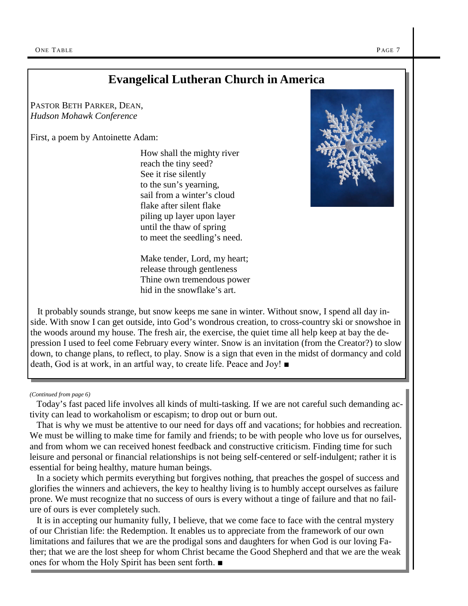### **Evangelical Lutheran Church in America**

PASTOR BETH PARKER, DEAN, *Hudson Mohawk Conference*

First, a poem by Antoinette Adam:

How shall the mighty river reach the tiny seed? See it rise silently to the sun's yearning, sail from a winter's cloud flake after silent flake piling up layer upon layer until the thaw of spring to meet the seedling's need.

Make tender, Lord, my heart; release through gentleness Thine own tremendous power hid in the snowflake's art.



It probably sounds strange, but snow keeps me sane in winter. Without snow, I spend all day inside. With snow I can get outside, into God's wondrous creation, to cross-country ski or snowshoe in the woods around my house. The fresh air, the exercise, the quiet time all help keep at bay the depression I used to feel come February every winter. Snow is an invitation (from the Creator?) to slow down, to change plans, to reflect, to play. Snow is a sign that even in the midst of dormancy and cold death, God is at work, in an artful way, to create life. Peace and Joy! ■

#### *(Continued from page 6)*

Today's fast paced life involves all kinds of multi-tasking. If we are not careful such demanding activity can lead to workaholism or escapism; to drop out or burn out.

That is why we must be attentive to our need for days off and vacations; for hobbies and recreation. We must be willing to make time for family and friends; to be with people who love us for ourselves, and from whom we can received honest feedback and constructive criticism. Finding time for such leisure and personal or financial relationships is not being self-centered or self-indulgent; rather it is essential for being healthy, mature human beings.

In a society which permits everything but forgives nothing, that preaches the gospel of success and glorifies the winners and achievers, the key to healthy living is to humbly accept ourselves as failure prone. We must recognize that no success of ours is every without a tinge of failure and that no failure of ours is ever completely such.

It is in accepting our humanity fully, I believe, that we come face to face with the central mystery of our Christian life: the Redemption. It enables us to appreciate from the framework of our own limitations and failures that we are the prodigal sons and daughters for when God is our loving Father; that we are the lost sheep for whom Christ became the Good Shepherd and that we are the weak ones for whom the Holy Spirit has been sent forth. ■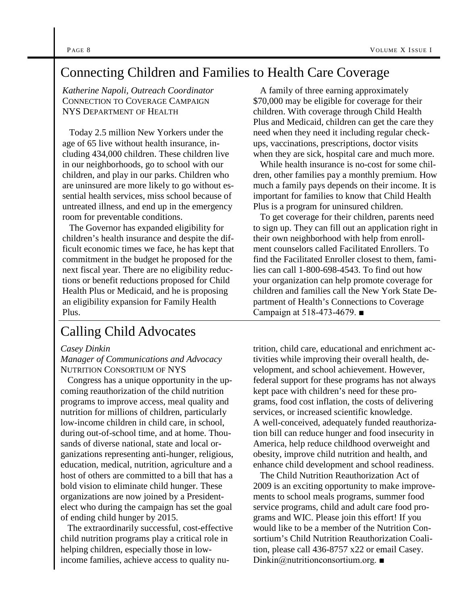### Connecting Children and Families to Health Care Coverage

*Katherine Napoli, Outreach Coordinator* CONNECTION TO COVERAGE CAMPAIGN NYS DEPARTMENT OF HEALTH

Today 2.5 million New Yorkers under the age of 65 live without health insurance, including 434,000 children. These children live in our neighborhoods, go to school with our children, and play in our parks. Children who are uninsured are more likely to go without essential health services, miss school because of untreated illness, and end up in the emergency room for preventable conditions.

The Governor has expanded eligibility for children's health insurance and despite the difficult economic times we face, he has kept that commitment in the budget he proposed for the next fiscal year. There are no eligibility reductions or benefit reductions proposed for Child Health Plus or Medicaid, and he is proposing an eligibility expansion for Family Health Plus.

### Calling Child Advocates

#### *Casey Dinkin*

*Manager of Communications and Advocacy* NUTRITION CONSORTIUM OF NYS

Congress has a unique opportunity in the upcoming reauthorization of the child nutrition programs to improve access, meal quality and nutrition for millions of children, particularly low-income children in child care, in school, during out-of-school time, and at home. Thousands of diverse national, state and local organizations representing anti-hunger, religious, education, medical, nutrition, agriculture and a host of others are committed to a bill that has a bold vision to eliminate child hunger. These organizations are now joined by a Presidentelect who during the campaign has set the goal of ending child hunger by 2015.

The extraordinarily successful, cost-effective child nutrition programs play a critical role in helping children, especially those in lowincome families, achieve access to quality nu-

A family of three earning approximately \$70,000 may be eligible for coverage for their children. With coverage through Child Health Plus and Medicaid, children can get the care they need when they need it including regular checkups, vaccinations, prescriptions, doctor visits when they are sick, hospital care and much more.

While health insurance is no-cost for some children, other families pay a monthly premium. How much a family pays depends on their income. It is important for families to know that Child Health Plus is a program for uninsured children.

To get coverage for their children, parents need to sign up. They can fill out an application right in their own neighborhood with help from enrollment counselors called Facilitated Enrollers. To find the Facilitated Enroller closest to them, families can call 1-800-698-4543. To find out how your organization can help promote coverage for children and families call the New York State Department of Health's Connections to Coverage Campaign at 518-473-4679. ■

trition, child care, educational and enrichment activities while improving their overall health, development, and school achievement. However, federal support for these programs has not always kept pace with children's need for these programs, food cost inflation, the costs of delivering services, or increased scientific knowledge. A well-conceived, adequately funded reauthorization bill can reduce hunger and food insecurity in America, help reduce childhood overweight and obesity, improve child nutrition and health, and enhance child development and school readiness.

The Child Nutrition Reauthorization Act of 2009 is an exciting opportunity to make improvements to school meals programs, summer food service programs, child and adult care food programs and WIC. Please join this effort! If you would like to be a member of the Nutrition Consortium's Child Nutrition Reauthorization Coalition, please call 436-8757 x22 or email Casey. Dinkin@nutritionconsortium.org. ■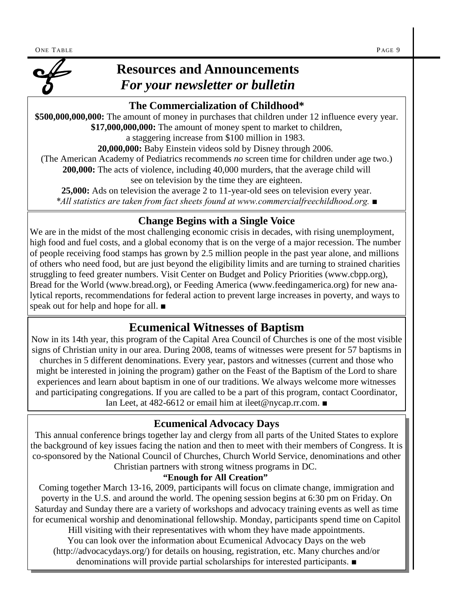

### **Resources and Announcements** *For your newsletter or bulletin*

### **The Commercialization of Childhood\***

**\$500,000,000,000:** The amount of money in purchases that children under 12 influence every year. **\$17,000,000,000:** The amount of money spent to market to children,

a staggering increase from \$100 million in 1983.

**20,000,000:** Baby Einstein videos sold by Disney through 2006.

(The American Academy of Pediatrics recommends *no* screen time for children under age two.)

**200,000:** The acts of violence, including 40,000 murders, that the average child will see on television by the time they are eighteen.

**25,000:** Ads on television the average 2 to 11-year-old sees on television every year. *\*All statistics are taken from fact sheets found at www.commercialfreechildhood.org. ■*

### **Change Begins with a Single Voice**

We are in the midst of the most challenging economic crisis in decades, with rising unemployment, high food and fuel costs, and a global economy that is on the verge of a major recession. The number of people receiving food stamps has grown by 2.5 million people in the past year alone, and millions of others who need food, but are just beyond the eligibility limits and are turning to strained charities struggling to feed greater numbers. Visit Center on Budget and Policy Priorities (www.cbpp.org), Bread for the World (www.bread.org), or Feeding America (www.feedingamerica.org) for new analytical reports, recommendations for federal action to prevent large increases in poverty, and ways to speak out for help and hope for all. *■*

### **Ecumenical Witnesses of Baptism**

Now in its 14th year, this program of the Capital Area Council of Churches is one of the most visible signs of Christian unity in our area. During 2008, teams of witnesses were present for 57 baptisms in churches in 5 different denominations. Every year, pastors and witnesses (current and those who might be interested in joining the program) gather on the Feast of the Baptism of the Lord to share experiences and learn about baptism in one of our traditions. We always welcome more witnesses and participating congregations. If you are called to be a part of this program, contact Coordinator, Ian Leet, at 482-6612 or email him at ileet@nycap.rr.com. *■*

### **Ecumenical Advocacy Days**

This annual conference brings together lay and clergy from all parts of the United States to explore the background of key issues facing the nation and then to meet with their members of Congress. It is co-sponsored by the National Council of Churches, Church World Service, denominations and other Christian partners with strong witness programs in DC.

#### **"Enough for All Creation"**

Coming together March 13-16, 2009, participants will focus on climate change, immigration and poverty in the U.S. and around the world. The opening session begins at 6:30 pm on Friday. On Saturday and Sunday there are a variety of workshops and advocacy training events as well as time for ecumenical worship and denominational fellowship. Monday, participants spend time on Capitol

Hill visiting with their representatives with whom they have made appointments. You can look over the information about Ecumenical Advocacy Days on the web (http://advocacydays.org/) for details on housing, registration, etc. Many churches and/or denominations will provide partial scholarships for interested participants. ■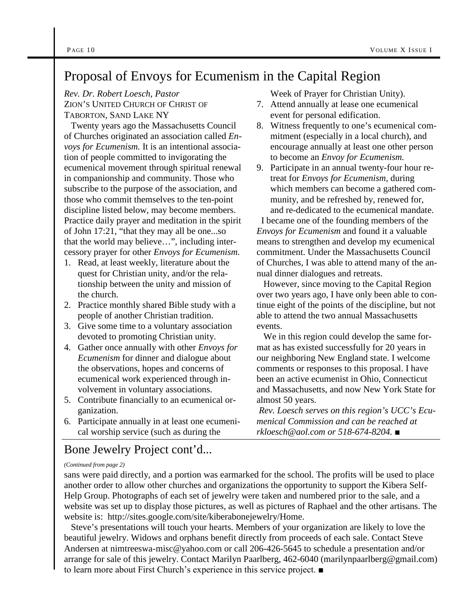## Proposal of Envoys for Ecumenism in the Capital Region

*Rev. Dr. Robert Loesch, Pastor*

ZION'S UNITED CHURCH OF CHRIST OF TABORTON, SAND LAKE NY

Twenty years ago the Massachusetts Council of Churches originated an association called *Envoys for Ecumenism.* It is an intentional association of people committed to invigorating the ecumenical movement through spiritual renewal in companionship and community. Those who subscribe to the purpose of the association, and those who commit themselves to the ten-point discipline listed below, may become members. Practice daily prayer and meditation in the spirit of John 17:21, "that they may all be one...so that the world may believe…", including intercessory prayer for other *Envoys for Ecumenism.*

- 1. Read, at least weekly, literature about the quest for Christian unity, and/or the relationship between the unity and mission of the church.
- 2. Practice monthly shared Bible study with a people of another Christian tradition.
- 3. Give some time to a voluntary association devoted to promoting Christian unity.
- 4. Gather once annually with other *Envoys for Ecumenism* for dinner and dialogue about the observations, hopes and concerns of ecumenical work experienced through involvement in voluntary associations.
- 5. Contribute financially to an ecumenical organization.
- 6. Participate annually in at least one ecumenical worship service (such as during the

### Bone Jewelry Project cont'd...

#### *(Continued from page 2)*

sans were paid directly, and a portion was earmarked for the school. The profits will be used to place another order to allow other churches and organizations the opportunity to support the Kibera Self-Help Group. Photographs of each set of jewelry were taken and numbered prior to the sale, and a website was set up to display those pictures, as well as pictures of Raphael and the other artisans. The website is: http://sites.google.com/site/kiberabonejewelry/Home.

Steve's presentations will touch your hearts. Members of your organization are likely to love the beautiful jewelry. Widows and orphans benefit directly from proceeds of each sale. Contact Steve Andersen at nimtreeswa-misc@yahoo.com or call 206-426-5645 to schedule a presentation and/or arrange for sale of this jewelry. Contact Marilyn Paarlberg, 462-6040 (marilynpaarlberg@gmail.com) to learn more about First Church's experience in this service project. ■

Week of Prayer for Christian Unity).

- 7. Attend annually at lease one ecumenical event for personal edification.
- 8. Witness frequently to one's ecumenical commitment (especially in a local church), and encourage annually at least one other person to become an *Envoy for Ecumenism.*
- 9. Participate in an annual twenty-four hour retreat for *Envoys for Ecumenism*, during which members can become a gathered community, and be refreshed by, renewed for, and re-dedicated to the ecumenical mandate.

I became one of the founding members of the *Envoys for Ecumenism* and found it a valuable means to strengthen and develop my ecumenical commitment. Under the Massachusetts Council of Churches, I was able to attend many of the annual dinner dialogues and retreats.

However, since moving to the Capital Region over two years ago, I have only been able to continue eight of the points of the discipline, but not able to attend the two annual Massachusetts events.

We in this region could develop the same format as has existed successfully for 20 years in our neighboring New England state. I welcome comments or responses to this proposal. I have been an active ecumenist in Ohio, Connecticut and Massachusetts, and now New York State for almost 50 years.

*Rev. Loesch serves on this region's UCC's Ecumenical Commission and can be reached at rkloesch@aol.com or 518-674-8204.* ■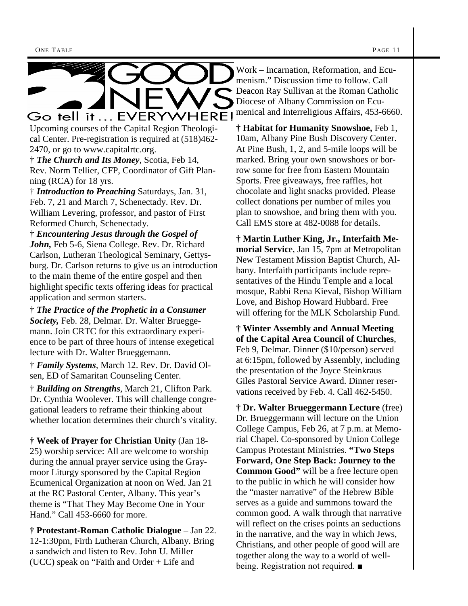

Upcoming courses of the Capital Region Theological Center. Pre-registration is required at (518)462- 2470, or go to www.capitalrtc.org.

† *The Church and Its Money,* Scotia, Feb 14, Rev. Norm Tellier, CFP, Coordinator of Gift Planning (RCA) for 18 yrs.

† *Introduction to Preaching* Saturdays, Jan. 31, Feb. 7, 21 and March 7, Schenectady. Rev. Dr. William Levering, professor, and pastor of First Reformed Church, Schenectady.

† *Encountering Jesus through the Gospel of John,* Feb 5-6, Siena College. Rev. Dr. Richard Carlson, Lutheran Theological Seminary, Gettysburg. Dr. Carlson returns to give us an introduction to the main theme of the entire gospel and then highlight specific texts offering ideas for practical application and sermon starters.

† *The Practice of the Prophetic in a Consumer Society,* Feb. 28, Delmar. Dr. Walter Brueggemann. Join CRTC for this extraordinary experience to be part of three hours of intense exegetical lecture with Dr. Walter Brueggemann.

† *Family Systems,* March 12. Rev. Dr. David Olsen, ED of Samaritan Counseling Center.

† *Building on Strengths,* March 21, Clifton Park. Dr. Cynthia Woolever. This will challenge congregational leaders to reframe their thinking about whether location determines their church's vitality.

**† Week of Prayer for Christian Unity** (Jan 18- 25) worship service: All are welcome to worship during the annual prayer service using the Graymoor Liturgy sponsored by the Capital Region Ecumenical Organization at noon on Wed. Jan 21 at the RC Pastoral Center, Albany. This year's theme is "That They May Become One in Your Hand." Call 453-6660 for more.

**† Protestant-Roman Catholic Dialogue** – Jan 22. 12-1:30pm, Firth Lutheran Church, Albany. Bring a sandwich and listen to Rev. John U. Miller (UCC) speak on "Faith and Order + Life and

Work – Incarnation, Reformation, and Ecumenism." Discussion time to follow. Call Deacon Ray Sullivan at the Roman Catholic Diocese of Albany Commission on Ecumenical and Interreligious Affairs, 453-6660.

**† Habitat for Humanity Snowshoe,** Feb 1, 10am, Albany Pine Bush Discovery Center. At Pine Bush, 1, 2, and 5-mile loops will be marked. Bring your own snowshoes or borrow some for free from Eastern Mountain Sports. Free giveaways, free raffles, hot chocolate and light snacks provided. Please collect donations per number of miles you plan to snowshoe, and bring them with you. Call EMS store at 482-0088 for details.

**† Martin Luther King, Jr., Interfaith Memorial Servic**e, Jan 15, 7pm at Metropolitan New Testament Mission Baptist Church, Albany. Interfaith participants include representatives of the Hindu Temple and a local mosque, Rabbi Rena Kieval, Bishop William Love, and Bishop Howard Hubbard. Free will offering for the MLK Scholarship Fund.

**† Winter Assembly and Annual Meeting of the Capital Area Council of Churches**, Feb 9, Delmar. Dinner (\$10/person) served at 6:15pm, followed by Assembly, including the presentation of the Joyce Steinkraus Giles Pastoral Service Award. Dinner reservations received by Feb. 4. Call 462-5450.

**† Dr. Walter Brueggermann Lecture** (free) Dr. Brueggermann will lecture on the Union College Campus, Feb 26, at 7 p.m. at Memorial Chapel. Co-sponsored by Union College Campus Protestant Ministries. **"Two Steps Forward, One Step Back: Journey to the Common Good"** will be a free lecture open to the public in which he will consider how the "master narrative" of the Hebrew Bible serves as a guide and summons toward the common good. A walk through that narrative will reflect on the crises points an seductions in the narrative, and the way in which Jews, Christians, and other people of good will are together along the way to a world of wellbeing. Registration not required. ■